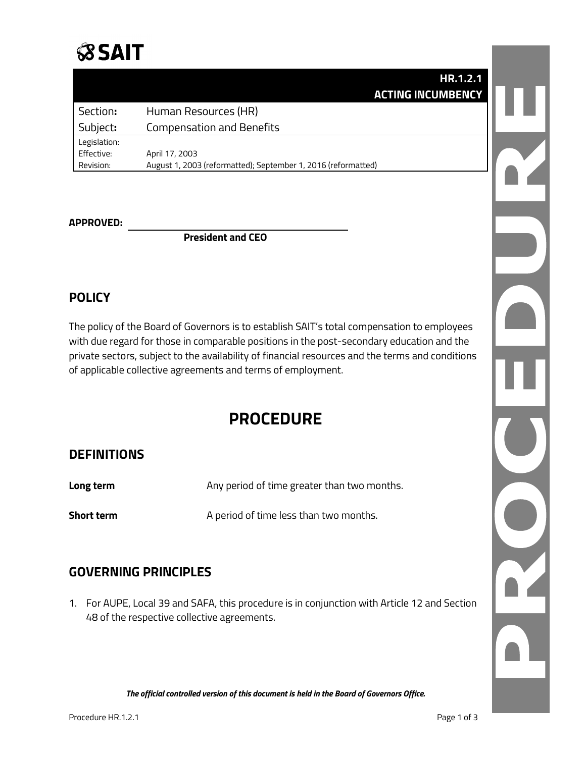# **SSAIT**

|              | HR.1.2.1                                                      |  |
|--------------|---------------------------------------------------------------|--|
|              | <b>ACTING INCUMBENCY</b>                                      |  |
| Section:     | Human Resources (HR)                                          |  |
| Subject:     | <b>Compensation and Benefits</b>                              |  |
| Legislation: |                                                               |  |
| Effective:   | April 17, 2003                                                |  |
| Revision:    | August 1, 2003 (reformatted); September 1, 2016 (reformatted) |  |

#### **APPROVED:**

**President and CEO**

#### **POLICY**

The policy of the Board of Governors is to establish SAIT's total compensation to employees with due regard for those in comparable positions in the post-secondary education and the private sectors, subject to the availability of financial resources and the terms and conditions of applicable collective agreements and terms of employment.

### **PROCEDURE**

#### **DEFINITIONS**

| Long term         | Any period of time greater than two months. |
|-------------------|---------------------------------------------|
| <b>Short term</b> | A period of time less than two months.      |

#### **GOVERNING PRINCIPLES**

1. For AUPE, Local 39 and SAFA, this procedure is in conjunction with Article 12 and Section 48 of the respective collective agreements.

*The official controlled version of this document is held in the Board of Governors Office.*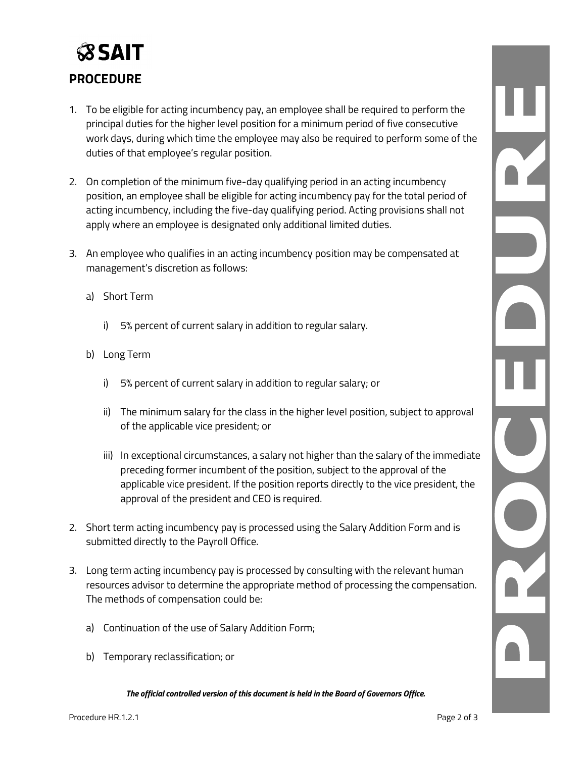## **SSAIT PROCEDURE**

- 1. To be eligible for acting incumbency pay, an employee shall be required to perform the principal duties for the higher level position for a minimum period of five consecutive work days, during which time the employee may also be required to perform some of the duties of that employee's regular position.
- 2. On completion of the minimum five-day qualifying period in an acting incumbency position, an employee shall be eligible for acting incumbency pay for the total period of acting incumbency, including the five-day qualifying period. Acting provisions shall not apply where an employee is designated only additional limited duties.
- 3. An employee who qualifies in an acting incumbency position may be compensated at management's discretion as follows:
	- a) Short Term
		- i) 5% percent of current salary in addition to regular salary.
	- b) Long Term
		- i) 5% percent of current salary in addition to regular salary; or
		- ii) The minimum salary for the class in the higher level position, subject to approval of the applicable vice president; or
		- iii) In exceptional circumstances, a salary not higher than the salary of the immediate preceding former incumbent of the position, subject to the approval of the applicable vice president. If the position reports directly to the vice president, the approval of the president and CEO is required.
- 2. Short term acting incumbency pay is processed using the Salary Addition Form and is submitted directly to the Payroll Office.
- 3. Long term acting incumbency pay is processed by consulting with the relevant human resources advisor to determine the appropriate method of processing the compensation. The methods of compensation could be:
	- a) Continuation of the use of Salary Addition Form;
	- b) Temporary reclassification; or

*The official controlled version of this document is held in the Board of Governors Office.*